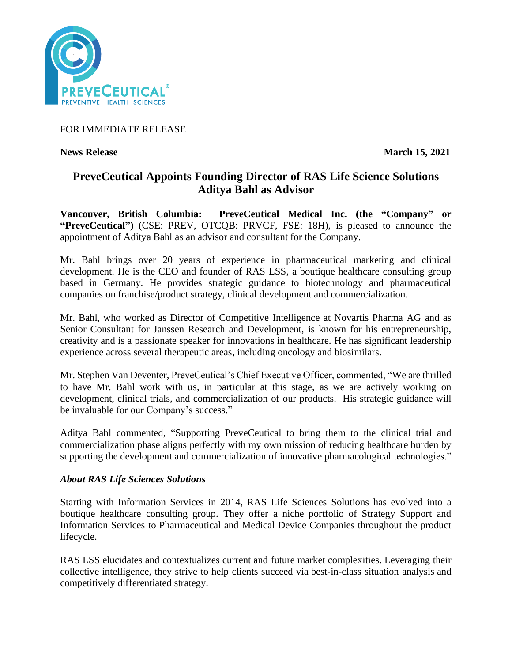

## FOR IMMEDIATE RELEASE

## **News Release** March 15, 2021

# **PreveCeutical Appoints Founding Director of RAS Life Science Solutions Aditya Bahl as Advisor**

**Vancouver, British Columbia: PreveCeutical Medical Inc. (the "Company" or "PreveCeutical")** (CSE: PREV, OTCQB: PRVCF, FSE: 18H), is pleased to announce the appointment of Aditya Bahl as an advisor and consultant for the Company.

Mr. Bahl brings over 20 years of experience in pharmaceutical marketing and clinical development. He is the CEO and founder of RAS LSS, a boutique healthcare consulting group based in Germany. He provides strategic guidance to biotechnology and pharmaceutical companies on franchise/product strategy, clinical development and commercialization.

Mr. Bahl, who worked as Director of Competitive Intelligence at Novartis Pharma AG and as Senior Consultant for Janssen Research and Development, is known for his entrepreneurship, creativity and is a passionate speaker for innovations in healthcare. He has significant leadership experience across several therapeutic areas, including oncology and biosimilars.

Mr. Stephen Van Deventer, PreveCeutical's Chief Executive Officer, commented, "We are thrilled to have Mr. Bahl work with us, in particular at this stage, as we are actively working on development, clinical trials, and commercialization of our products. His strategic guidance will be invaluable for our Company's success."

Aditya Bahl commented, "Supporting PreveCeutical to bring them to the clinical trial and commercialization phase aligns perfectly with my own mission of reducing healthcare burden by supporting the development and commercialization of innovative pharmacological technologies."

## *About RAS Life Sciences Solutions*

Starting with Information Services in 2014, RAS Life Sciences Solutions has evolved into a boutique healthcare consulting group. They offer a niche portfolio of Strategy Support and Information Services to Pharmaceutical and Medical Device Companies throughout the product lifecycle.

RAS LSS elucidates and contextualizes current and future market complexities. Leveraging their collective intelligence, they strive to help clients succeed via best-in-class situation analysis and competitively differentiated strategy.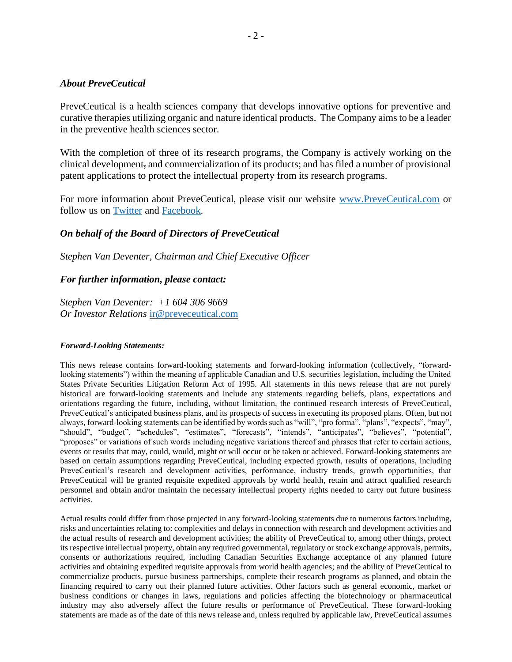### *About PreveCeutical*

PreveCeutical is a health sciences company that develops innovative options for preventive and curative therapies utilizing organic and nature identical products. The Company aims to be a leader in the preventive health sciences sector.

With the completion of three of its research programs, the Company is actively working on the clinical development, and commercialization of its products; and has filed a number of provisional patent applications to protect the intellectual property from its research programs.

For more information about PreveCeutical, please visit our website [www.PreveCeutical.com](http://www.preveceutical.com/) or follow us on [Twitter](http://twitter.com/PreveCeuticals) and [Facebook.](http://www.facebook.com/PreveCeutical)

## *On behalf of the Board of Directors of PreveCeutical*

*Stephen Van Deventer, Chairman and Chief Executive Officer*

#### *For further information, please contact:*

*Stephen Van Deventer: +1 604 306 9669 Or Investor Relations* [ir@preveceutical.com](mailto:ir@preveceutical.com)

#### *Forward-Looking Statements:*

This news release contains forward-looking statements and forward-looking information (collectively, "forwardlooking statements") within the meaning of applicable Canadian and U.S. securities legislation, including the United States Private Securities Litigation Reform Act of 1995. All statements in this news release that are not purely historical are forward-looking statements and include any statements regarding beliefs, plans, expectations and orientations regarding the future, including, without limitation, the continued research interests of PreveCeutical, PreveCeutical's anticipated business plans, and its prospects of success in executing its proposed plans. Often, but not always, forward-looking statements can be identified by words such as "will", "pro forma", "plans", "expects", "may", "should", "budget", "schedules", "estimates", "forecasts", "intends", "anticipates", "believes", "potential", "proposes" or variations of such words including negative variations thereof and phrases that refer to certain actions, events or results that may, could, would, might or will occur or be taken or achieved. Forward-looking statements are based on certain assumptions regarding PreveCeutical, including expected growth, results of operations, including PreveCeutical's research and development activities, performance, industry trends, growth opportunities, that PreveCeutical will be granted requisite expedited approvals by world health, retain and attract qualified research personnel and obtain and/or maintain the necessary intellectual property rights needed to carry out future business activities.

Actual results could differ from those projected in any forward-looking statements due to numerous factors including, risks and uncertainties relating to: complexities and delays in connection with research and development activities and the actual results of research and development activities; the ability of PreveCeutical to, among other things, protect its respective intellectual property, obtain any required governmental, regulatory or stock exchange approvals, permits, consents or authorizations required, including Canadian Securities Exchange acceptance of any planned future activities and obtaining expedited requisite approvals from world health agencies; and the ability of PreveCeutical to commercialize products, pursue business partnerships, complete their research programs as planned, and obtain the financing required to carry out their planned future activities. Other factors such as general economic, market or business conditions or changes in laws, regulations and policies affecting the biotechnology or pharmaceutical industry may also adversely affect the future results or performance of PreveCeutical. These forward-looking statements are made as of the date of this news release and, unless required by applicable law, PreveCeutical assumes